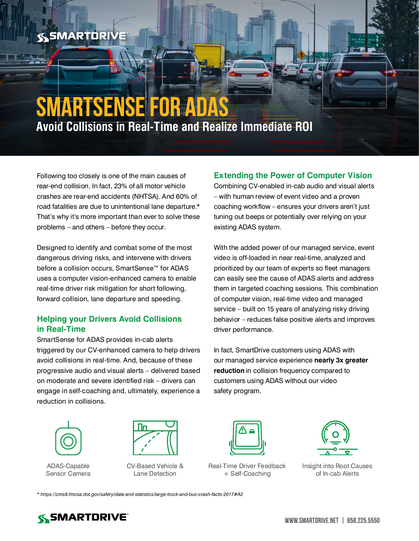## **SSMARTDRIVE**

# **SmartSense for ADAS Avoid Collisions in Real-Time and Realize Immediate ROI**

Following too closely is one of the main causes of rear-end collision. In fact, 23% of all motor vehicle crashes are rear-end accidents (NHTSA). And 60% of road fatalities are due to unintentional lane departure.\* That's why it's more important than ever to solve these problems – and others – before they occur.

Designed to identify and combat some of the most dangerous driving risks, and intervene with drivers before a collision occurs, SmartSense™ for ADAS uses a computer vision-enhanced camera to enable real-time driver risk mitigation for short following, forward collision, lane departure and speeding.

## **Helping your Drivers Avoid Collisions in Real-Time**

SmartSense for ADAS provides in-cab alerts triggered by our CV-enhanced camera to help drivers avoid collisions in real-time. And, because of these progressive audio and visual alerts – delivered based on moderate and severe identified risk – drivers can engage in self-coaching and, ultimately, experience a reduction in collisions.

## **Extending the Power of Computer Vision**

Combining CV-enabled in-cab audio and visual alerts – with human review of event video and a proven coaching workflow – ensures your drivers aren't just tuning out beeps or potentially over relying on your existing ADAS system.

With the added power of our managed service, event video is off-loaded in near real-time, analyzed and prioritized by our team of experts so fleet managers can easily see the cause of ADAS alerts and address them in targeted coaching sessions. This combination of computer vision, real-time video and managed service – built on 15 years of analyzing risky driving behavior – reduces false positive alerts and improves driver performance.

In fact, SmartDrive customers using ADAS with our managed service experience **nearly 3x greater reduction** in collision frequency compared to customers using ADAS without our video safety program.



ADAS-Capable Sensor Camera



CV-Based Vehicle & Lane Detection



Real-Time Driver Feedback + Self-Coaching



Insight into Root Causes of In-cab Alerts

*[\\*](* https://www.kffjlaw.com/library/a-few-facts-about-rear-end-collisions.cfm) <https://cms8.fmcsa.dot.gov/safety/data-and-statistics/large-truck-and-bus-crash-facts-2017#A2>*